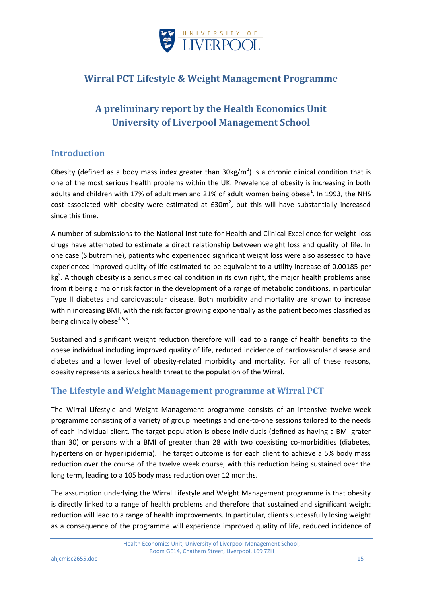

## **Wirral PCT Lifestyle & Weight Management Programme**

# **A preliminary report by the Health Economics Unit University of Liverpool Management School**

## **Introduction**

Obesity (defined as a body mass index greater than  $30\text{kg/m}^2$ ) is a chronic clinical condition that is one of the most serious health problems within the UK. Prevalence of obesity is increasing in both adults and children with 17% of adult men and 21% of adult women being obese<sup>1</sup>. In 1993, the NHS cost associated with obesity were estimated at  $E30m^2$ , but this will have substantially increased since this time.

A number of submissions to the National Institute for Health and Clinical Excellence for weight-loss drugs have attempted to estimate a direct relationship between weight loss and quality of life. In one case (Sibutramine), patients who experienced significant weight loss were also assessed to have experienced improved quality of life estimated to be equivalent to a utility increase of 0.00185 per  $kg<sup>3</sup>$ . Although obesity is a serious medical condition in its own right, the major health problems arise from it being a major risk factor in the development of a range of metabolic conditions, in particular Type II diabetes and cardiovascular disease. Both morbidity and mortality are known to increase within increasing BMI, with the risk factor growing exponentially as the patient becomes classified as being clinically obese<sup>4,5,6</sup>.

Sustained and significant weight reduction therefore will lead to a range of health benefits to the obese individual including improved quality of life, reduced incidence of cardiovascular disease and diabetes and a lower level of obesity-related morbidity and mortality. For all of these reasons, obesity represents a serious health threat to the population of the Wirral.

## **The Lifestyle and Weight Management programme at Wirral PCT**

The Wirral Lifestyle and Weight Management programme consists of an intensive twelve-week programme consisting of a variety of group meetings and one-to-one sessions tailored to the needs of each individual client. The target population is obese individuals (defined as having a BMI grater than 30) or persons with a BMI of greater than 28 with two coexisting co-morbidities (diabetes, hypertension or hyperlipidemia). The target outcome is for each client to achieve a 5% body mass reduction over the course of the twelve week course, with this reduction being sustained over the long term, leading to a 105 body mass reduction over 12 months.

The assumption underlying the Wirral Lifestyle and Weight Management programme is that obesity is directly linked to a range of health problems and therefore that sustained and significant weight reduction will lead to a range of health improvements. In particular, clients successfully losing weight as a consequence of the programme will experience improved quality of life, reduced incidence of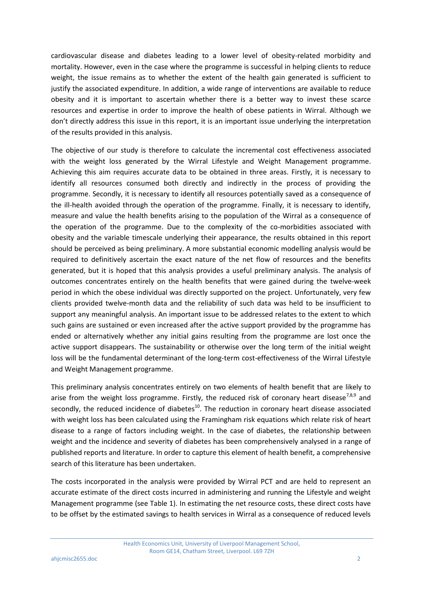cardiovascular disease and diabetes leading to a lower level of obesity-related morbidity and mortality. However, even in the case where the programme is successful in helping clients to reduce weight, the issue remains as to whether the extent of the health gain generated is sufficient to justify the associated expenditure. In addition, a wide range of interventions are available to reduce obesity and it is important to ascertain whether there is a better way to invest these scarce resources and expertise in order to improve the health of obese patients in Wirral. Although we don't directly address this issue in this report, it is an important issue underlying the interpretation of the results provided in this analysis.

The objective of our study is therefore to calculate the incremental cost effectiveness associated with the weight loss generated by the Wirral Lifestyle and Weight Management programme. Achieving this aim requires accurate data to be obtained in three areas. Firstly, it is necessary to identify all resources consumed both directly and indirectly in the process of providing the programme. Secondly, it is necessary to identify all resources potentially saved as a consequence of the ill-health avoided through the operation of the programme. Finally, it is necessary to identify, measure and value the health benefits arising to the population of the Wirral as a consequence of the operation of the programme. Due to the complexity of the co-morbidities associated with obesity and the variable timescale underlying their appearance, the results obtained in this report should be perceived as being preliminary. A more substantial economic modelling analysis would be required to definitively ascertain the exact nature of the net flow of resources and the benefits generated, but it is hoped that this analysis provides a useful preliminary analysis. The analysis of outcomes concentrates entirely on the health benefits that were gained during the twelve-week period in which the obese individual was directly supported on the project. Unfortunately, very few clients provided twelve-month data and the reliability of such data was held to be insufficient to support any meaningful analysis. An important issue to be addressed relates to the extent to which such gains are sustained or even increased after the active support provided by the programme has ended or alternatively whether any initial gains resulting from the programme are lost once the active support disappears. The sustainability or otherwise over the long term of the initial weight loss will be the fundamental determinant of the long-term cost-effectiveness of the Wirral Lifestyle and Weight Management programme.

This preliminary analysis concentrates entirely on two elements of health benefit that are likely to arise from the weight loss programme. Firstly, the reduced risk of coronary heart disease<sup>7,8,9</sup> and secondly, the reduced incidence of diabetes<sup>10</sup>. The reduction in coronary heart disease associated with weight loss has been calculated using the Framingham risk equations which relate risk of heart disease to a range of factors including weight. In the case of diabetes, the relationship between weight and the incidence and severity of diabetes has been comprehensively analysed in a range of published reports and literature. In order to capture this element of health benefit, a comprehensive search of this literature has been undertaken.

The costs incorporated in the analysis were provided by Wirral PCT and are held to represent an accurate estimate of the direct costs incurred in administering and running the Lifestyle and weight Management programme (see Table 1). In estimating the net resource costs, these direct costs have to be offset by the estimated savings to health services in Wirral as a consequence of reduced levels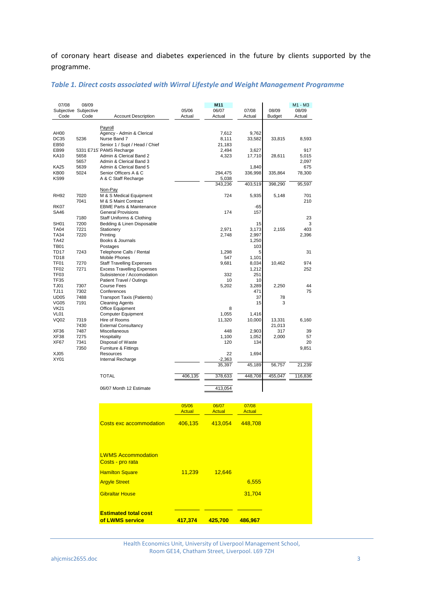of coronary heart disease and diabetes experienced in the future by clients supported by the programme.

| 07/08                      | 08/09<br>Subjective Subjective |                                                                                                                 | 05/06         | M11<br>06/07             | 07/08            | 08/09   | M1 - M3<br>08/09      |
|----------------------------|--------------------------------|-----------------------------------------------------------------------------------------------------------------|---------------|--------------------------|------------------|---------|-----------------------|
| Code                       | Code                           | <b>Account Description</b>                                                                                      | Actual        | Actual                   | Actual           | Budget  | Actual                |
|                            |                                |                                                                                                                 |               |                          |                  |         |                       |
| AH00<br><b>DC35</b>        | 5236                           | Payroll<br>Agency - Admin & Clerical<br>Nurse Band 7                                                            |               | 7,612<br>8,111           | 9,762<br>33,582  | 33,815  | 8,593                 |
| EB50<br>EB99<br>KA10       | 5658<br>5657                   | Senior 1 / Supt / Head / Chief<br>5331 E715 PAMS Recharge<br>Admin & Clerical Band 2<br>Admin & Clerical Band 3 |               | 21,183<br>2,494<br>4,323 | 3,627<br>17,710  | 28,611  | 917<br>5,015<br>2,097 |
| KA25<br><b>KB00</b>        | 5639<br>5024                   | Admin & Clerical Band 5<br>Senior Officers A & C                                                                |               | 294,475                  | 1,840<br>336,998 | 335,864 | 675<br>78,300         |
| KS99                       |                                | A & C Staff Recharge                                                                                            |               | 5,038                    |                  |         |                       |
|                            |                                |                                                                                                                 |               | 343,236                  | 403,519          | 398,290 | 95,597                |
| <b>RH92</b>                | 7020<br>7041                   | Non-Pay<br>M & S Medical Equipment<br>M & S Maint Contract                                                      |               | 724                      | 5,935            | 5,148   | 701<br>210            |
| <b>RK07</b>                |                                | <b>EBME Parts &amp; Maintenance</b>                                                                             |               |                          | -65              |         |                       |
| SA46                       |                                | <b>General Provisions</b>                                                                                       |               | 174                      | 157              |         |                       |
|                            | 7180                           | Staff Uniforms & Clothing                                                                                       |               |                          |                  |         | 23                    |
| SH <sub>01</sub>           | 7200                           | Bedding & Linen Disposable                                                                                      |               |                          | 15               |         | 3                     |
| <b>TA04</b><br><b>TA34</b> | 7221<br>7220                   | Stationery<br>Printing                                                                                          |               | 2,971<br>2,748           | 3,173<br>2,997   | 2,155   | 403<br>2,396          |
| <b>TA42</b>                |                                | Books & Journals                                                                                                |               |                          | 1,250            |         |                       |
| <b>TB01</b>                |                                | Postages                                                                                                        |               |                          | 103              |         |                       |
| <b>TD17</b>                | 7243                           | Telephone Calls / Rental                                                                                        |               | 1,298                    | 5                |         | 31                    |
| <b>TD18</b>                |                                | <b>Mobile Phones</b>                                                                                            |               | 547                      | 1,101            |         |                       |
| TF01                       | 7270                           | <b>Staff Travelling Expenses</b>                                                                                |               | 9,681                    | 8,034            | 10,462  | 974                   |
| <b>TF02</b>                | 7271                           | <b>Excess Travelling Expenses</b>                                                                               |               |                          | 1,212            |         | 252                   |
| TF <sub>03</sub>           |                                | Subsistence / Accomodation                                                                                      |               | 332                      | 251              |         |                       |
| <b>TF35</b>                |                                | Patient Travel / Outings                                                                                        |               | 10                       | 10               |         |                       |
| TJ01                       | 7307                           | <b>Course Fees</b>                                                                                              |               | 5,202                    | 3,289            | 2,250   | 44                    |
| <b>TJ11</b>                | 7302                           | Conferences                                                                                                     |               |                          | 471              |         | 75                    |
| <b>UD05</b>                | 7488                           | <b>Transport Taxis (Patients)</b>                                                                               |               |                          | 37               | 78      |                       |
| <b>VG05</b><br><b>VK21</b> | 7191                           | <b>Cleaning Agents</b>                                                                                          |               | 8                        | 15               | 3       |                       |
| VL01                       |                                | Office Equipment<br><b>Computer Equipment</b>                                                                   |               | 1,055                    | 1,416            |         |                       |
| <b>VQ02</b>                | 7319                           | Hire of Rooms                                                                                                   |               | 11,320                   | 10,000           | 13,331  | 6,160                 |
|                            | 7430                           | <b>External Consultancy</b>                                                                                     |               |                          |                  | 21,013  |                       |
| XF36                       | 7487                           | Miscellaneous                                                                                                   |               | 448                      | 2,903            | 317     | 39                    |
| XF38                       | 7275                           | Hospitality                                                                                                     |               | 1,100                    | 1,052            | 2,000   | 57                    |
| XF67                       | 7341                           | Disposal of Waste                                                                                               |               | 120                      | 134              |         | 20                    |
|                            | 7350                           | Furniture & Fittings                                                                                            |               |                          |                  |         | 9,851                 |
| XJ05                       |                                | Resources                                                                                                       |               | 22                       | 1,694            |         |                       |
| XY01                       |                                | Internal Recharge                                                                                               |               | $-2,363$                 |                  |         |                       |
|                            |                                |                                                                                                                 |               | 35,397                   | 45,189           | 56,757  | 21,239                |
|                            |                                | <b>TOTAL</b>                                                                                                    | 406,135       | 378,633                  | 448,708          | 455,047 | 116,836               |
|                            |                                | 06/07 Month 12 Estimate                                                                                         |               | 413,054                  |                  |         |                       |
|                            |                                |                                                                                                                 |               |                          |                  |         |                       |
|                            |                                |                                                                                                                 | 05/06         | 06/07                    | 07/08            |         |                       |
|                            |                                |                                                                                                                 | <b>Actual</b> | <b>Actual</b>            | <b>Actual</b>    |         |                       |
|                            |                                |                                                                                                                 |               |                          |                  |         |                       |
|                            |                                | <b>Costs exc accommodation</b>                                                                                  | 406,135       | 413,054                  | 448,708          |         |                       |
|                            |                                |                                                                                                                 |               |                          |                  |         |                       |
|                            |                                | <b>LWMS Accommodation</b><br>Costs - pro rata                                                                   |               |                          |                  |         |                       |
|                            |                                | <b>Hamilton Square</b>                                                                                          | 11,239        | 12,646                   |                  |         |                       |
|                            |                                | <b>Argyle Street</b>                                                                                            |               |                          | 6,555            |         |                       |

#### *Table 1. Direct costs associated with Wirral Lifestyle and Weight Management Programme*

Health Economics Unit, University of Liverpool Management School, Room GE14, Chatham Street, Liverpool. L69 7ZH

Gibraltar House 31,704

**of LWMS service 417,374 425,700 486,967**

**Estimated total cost**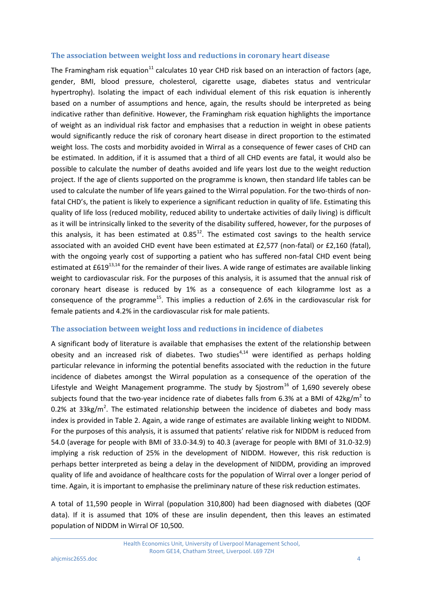#### **The association between weight loss and reductions in coronary heart disease**

The Framingham risk equation<sup>11</sup> calculates 10 year CHD risk based on an interaction of factors (age, gender, BMI, blood pressure, cholesterol, cigarette usage, diabetes status and ventricular hypertrophy). Isolating the impact of each individual element of this risk equation is inherently based on a number of assumptions and hence, again, the results should be interpreted as being indicative rather than definitive. However, the Framingham risk equation highlights the importance of weight as an individual risk factor and emphasises that a reduction in weight in obese patients would significantly reduce the risk of coronary heart disease in direct proportion to the estimated weight loss. The costs and morbidity avoided in Wirral as a consequence of fewer cases of CHD can be estimated. In addition, if it is assumed that a third of all CHD events are fatal, it would also be possible to calculate the number of deaths avoided and life years lost due to the weight reduction project. If the age of clients supported on the programme is known, then standard life tables can be used to calculate the number of life years gained to the Wirral population. For the two-thirds of nonfatal CHD's, the patient is likely to experience a significant reduction in quality of life. Estimating this quality of life loss (reduced mobility, reduced ability to undertake activities of daily living) is difficult as it will be intrinsically linked to the severity of the disability suffered, however, for the purposes of this analysis, it has been estimated at  $0.85^{12}$ . The estimated cost savings to the health service associated with an avoided CHD event have been estimated at £2,577 (non-fatal) or £2,160 (fatal), with the ongoing yearly cost of supporting a patient who has suffered non-fatal CHD event being estimated at £619<sup>13,14</sup> for the remainder of their lives. A wide range of estimates are available linking weight to cardiovascular risk. For the purposes of this analysis, it is assumed that the annual risk of coronary heart disease is reduced by 1% as a consequence of each kilogramme lost as a consequence of the programme<sup>15</sup>. This implies a reduction of 2.6% in the cardiovascular risk for female patients and 4.2% in the cardiovascular risk for male patients.

#### **The association between weight loss and reductions in incidence of diabetes**

A significant body of literature is available that emphasises the extent of the relationship between obesity and an increased risk of diabetes. Two studies<sup>4,14</sup> were identified as perhaps holding particular relevance in informing the potential benefits associated with the reduction in the future incidence of diabetes amongst the Wirral population as a consequence of the operation of the Lifestyle and Weight Management programme. The study by Sjostrom<sup>16</sup> of 1,690 severely obese subjects found that the two-year incidence rate of diabetes falls from 6.3% at a BMI of 42kg/m<sup>2</sup> to 0.2% at 33kg/m<sup>2</sup>. The estimated relationship between the incidence of diabetes and body mass index is provided in Table 2. Again, a wide range of estimates are available linking weight to NIDDM. For the purposes of this analysis, it is assumed that patients' relative risk for NIDDM is reduced from 54.0 (average for people with BMI of 33.0-34.9) to 40.3 (average for people with BMI of 31.0-32.9) implying a risk reduction of 25% in the development of NIDDM. However, this risk reduction is perhaps better interpreted as being a delay in the development of NIDDM, providing an improved quality of life and avoidance of healthcare costs for the population of Wirral over a longer period of time. Again, it is important to emphasise the preliminary nature of these risk reduction estimates.

A total of 11,590 people in Wirral (population 310,800) had been diagnosed with diabetes (QOF data). If it is assumed that 10% of these are insulin dependent, then this leaves an estimated population of NIDDM in Wirral OF 10,500.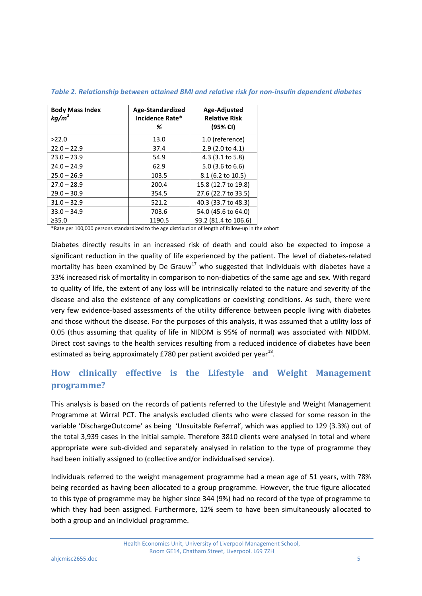| <b>Body Mass Index</b><br>$kq/m^2$ | Age-Standardized<br>Incidence Rate*<br>% | Age-Adjusted<br><b>Relative Risk</b><br>(95% CI) |
|------------------------------------|------------------------------------------|--------------------------------------------------|
| >22.0                              | 13.0                                     | 1.0 (reference)                                  |
| $22.0 - 22.9$                      | 37.4                                     | 2.9 (2.0 to 4.1)                                 |
| $23.0 - 23.9$                      | 54.9                                     | 4.3 (3.1 to 5.8)                                 |
| $24.0 - 24.9$                      | 62.9                                     | $5.0$ (3.6 to 6.6)                               |
| $25.0 - 26.9$                      | 103.5                                    | 8.1 (6.2 to 10.5)                                |
| $27.0 - 28.9$                      | 200.4                                    | 15.8 (12.7 to 19.8)                              |
| $29.0 - 30.9$                      | 354.5                                    | 27.6 (22.7 to 33.5)                              |
| $31.0 - 32.9$                      | 521.2                                    | 40.3 (33.7 to 48.3)                              |
| $33.0 - 34.9$                      | 703.6                                    | 54.0 (45.6 to 64.0)                              |
| >35.0                              | 1190.5                                   | 93.2 (81.4 to 106.6)                             |

*Table 2. Relationship between attained BMI and relative risk for non-insulin dependent diabetes*

\*Rate per 100,000 persons standardized to the age distribution of length of follow-up in the cohort

Diabetes directly results in an increased risk of death and could also be expected to impose a significant reduction in the quality of life experienced by the patient. The level of diabetes-related mortality has been examined by De Grauw<sup>17</sup> who suggested that individuals with diabetes have a 33% increased risk of mortality in comparison to non-diabetics of the same age and sex. With regard to quality of life, the extent of any loss will be intrinsically related to the nature and severity of the disease and also the existence of any complications or coexisting conditions. As such, there were very few evidence-based assessments of the utility difference between people living with diabetes and those without the disease. For the purposes of this analysis, it was assumed that a utility loss of 0.05 (thus assuming that quality of life in NIDDM is 95% of normal) was associated with NIDDM. Direct cost savings to the health services resulting from a reduced incidence of diabetes have been estimated as being approximately £780 per patient avoided per year<sup>18</sup>.

# **How clinically effective is the Lifestyle and Weight Management programme?**

This analysis is based on the records of patients referred to the Lifestyle and Weight Management Programme at Wirral PCT. The analysis excluded clients who were classed for some reason in the variable 'DischargeOutcome' as being 'Unsuitable Referral', which was applied to 129 (3.3%) out of the total 3,939 cases in the initial sample. Therefore 3810 clients were analysed in total and where appropriate were sub-divided and separately analysed in relation to the type of programme they had been initially assigned to (collective and/or individualised service).

Individuals referred to the weight management programme had a mean age of 51 years, with 78% being recorded as having been allocated to a group programme. However, the true figure allocated to this type of programme may be higher since 344 (9%) had no record of the type of programme to which they had been assigned. Furthermore, 12% seem to have been simultaneously allocated to both a group and an individual programme.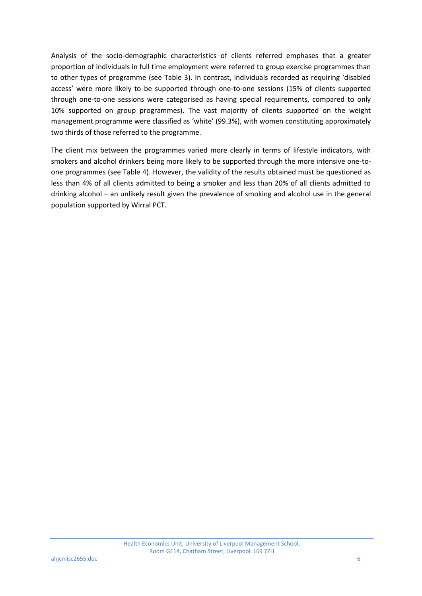Analysis of the socio-demographic characteristics of clients referred emphases that a greater proportion of individuals in full time employment were referred to group exercise programmes than to other types of programme (see Table 3). In contrast, individuals recorded as requiring 'disabled access' were more likely to be supported through one-to-one sessions (15% of clients supported through one-to-one sessions were categorised as having special requirements, compared to only 10% supported on group programmes). The vast majority of clients supported on the weight management programme were classified as 'white' (99.3%), with women constituting approximately two thirds of those referred to the programme.

The client mix between the programmes varied more clearly in terms of lifestyle indicators, with smokers and alcohol drinkers being more likely to be supported through the more intensive one-toone programmes (see Table 4). However, the validity of the results obtained must be questioned as less than 4% of all clients admitted to being a smoker and less than 20% of all clients admitted to drinking alcohol – an unlikely result given the prevalence of smoking and alcohol use in the general population supported by Wirral PCT.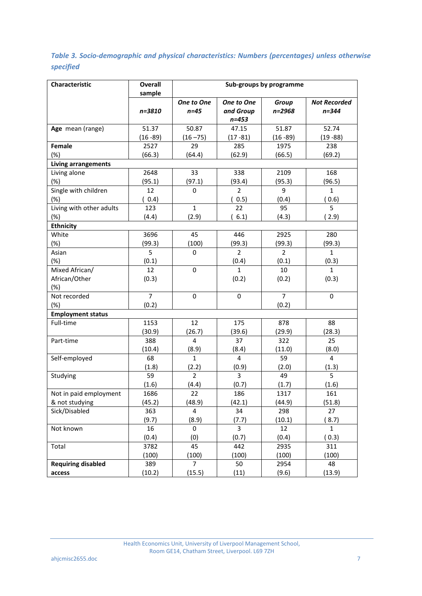## *Table 3. Socio-demographic and physical characteristics: Numbers (percentages) unless otherwise specified*

| Characteristic                        | <b>Overall</b> | Sub-groups by programme |                |                |                     |  |
|---------------------------------------|----------------|-------------------------|----------------|----------------|---------------------|--|
|                                       | sample         | One to One              | One to One     | Group          | <b>Not Recorded</b> |  |
|                                       | n=3810         | $n=45$                  | and Group      | n=2968         | $n = 344$           |  |
|                                       |                |                         | $n = 453$      |                |                     |  |
| Age mean (range)                      | 51.37          | 50.87                   | 47.15          | 51.87          | 52.74               |  |
|                                       | $(16 - 89)$    | $(16 - 75)$             | $(17 - 81)$    | $(16 - 89)$    | $(19 - 88)$         |  |
| Female                                | 2527           | 29                      | 285            | 1975           | 238                 |  |
| $(\%)$                                | (66.3)         | (64.4)                  | (62.9)         | (66.5)         | (69.2)              |  |
| Living arrangements                   |                |                         |                |                |                     |  |
| Living alone                          | 2648           | 33                      | 338            | 2109           | 168                 |  |
| (%)                                   | (95.1)         | (97.1)                  | (93.4)         | (95.3)         | (96.5)              |  |
| Single with children                  | 12             | 0                       | $\overline{2}$ | 9              | $\mathbf{1}$        |  |
| (%)                                   | (0.4)          |                         | 0.5)           | (0.4)          | (0.6)               |  |
| Living with other adults              | 123            | $\mathbf{1}$            | 22             | 95             | 5                   |  |
| (%)                                   | (4.4)          | (2.9)                   | 6.1)           | (4.3)          | (2.9)               |  |
| <b>Ethnicity</b>                      |                |                         |                |                |                     |  |
| White                                 | 3696           | 45                      | 446            | 2925           | 280                 |  |
| (%)                                   | (99.3)         | (100)                   | (99.3)         | (99.3)         | (99.3)              |  |
| Asian                                 | 5              | 0                       | $\overline{2}$ | $\overline{2}$ | $\mathbf{1}$        |  |
| (%)                                   | (0.1)          |                         | (0.4)          | (0.1)          | (0.3)               |  |
| Mixed African/                        | 12             | 0                       | $\mathbf{1}$   | 10             | 1                   |  |
| African/Other                         | (0.3)          |                         | (0.2)          | (0.2)          | (0.3)               |  |
| $(\%)$                                |                |                         |                |                |                     |  |
| Not recorded                          | $\overline{7}$ | $\mathbf 0$             | 0              | $\overline{7}$ | 0                   |  |
| (%)                                   | (0.2)          |                         |                | (0.2)          |                     |  |
| <b>Employment status</b><br>Full-time | 1153           | 12                      | 175            | 878            | 88                  |  |
|                                       | (30.9)         | (26.7)                  | (39.6)         | (29.9)         | (28.3)              |  |
| Part-time                             | 388            | 4                       | 37             | 322            | 25                  |  |
|                                       | (10.4)         | (8.9)                   | (8.4)          | (11.0)         | (8.0)               |  |
| Self-employed                         | 68             | $\mathbf{1}$            | $\overline{4}$ | 59             | $\overline{4}$      |  |
|                                       | (1.8)          | (2.2)                   | (0.9)          | (2.0)          | (1.3)               |  |
| Studying                              | 59             | $\overline{2}$          | 3              | 49             | 5                   |  |
|                                       | (1.6)          | (4.4)                   | (0.7)          | (1.7)          | (1.6)               |  |
| Not in paid employment                | 1686           | 22                      | 186            | 1317           | 161                 |  |
| & not studying                        | (45.2)         | (48.9)                  | (42.1)         | (44.9)         | (51.8)              |  |
| Sick/Disabled                         | 363            | $\overline{4}$          | 34             | 298            | 27                  |  |
|                                       | (9.7)          | (8.9)                   | (7.7)          | (10.1)         | (8.7)               |  |
| Not known                             | 16             | 0                       | 3              | 12             | $\mathbf{1}$        |  |
|                                       | (0.4)          | (0)                     | (0.7)          | (0.4)          | (0.3)               |  |
| Total                                 | 3782           | 45                      | 442            | 2935           | 311                 |  |
|                                       | (100)          | (100)                   | (100)          | (100)          | (100)               |  |
| <b>Requiring disabled</b>             | 389            | $\overline{7}$          | 50             | 2954           | 48                  |  |
| access                                | (10.2)         | (15.5)                  | (11)           | (9.6)          | (13.9)              |  |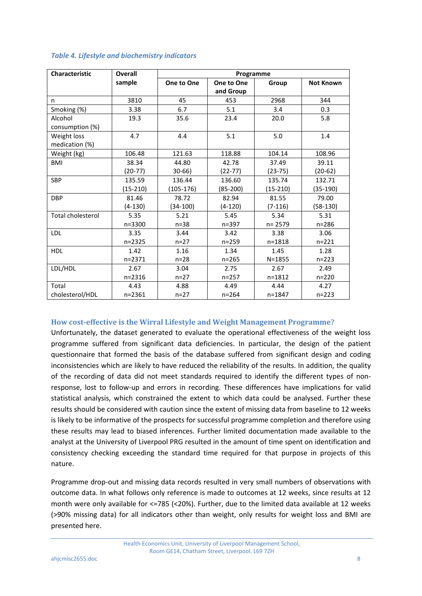| <b>Characteristic</b>    | Overall    | Programme  |            |            |                  |
|--------------------------|------------|------------|------------|------------|------------------|
|                          | sample     | One to One | One to One | Group      | <b>Not Known</b> |
|                          |            |            | and Group  |            |                  |
| n                        | 3810       | 45         | 453        | 2968       | 344              |
| Smoking (%)              | 3.38       | 6.7        | 5.1        | 3.4        | 0.3              |
| Alcohol                  | 19.3       | 35.6       | 23.4       | 20.0       | 5.8              |
| consumption (%)          |            |            |            |            |                  |
| Weight loss              | 4.7        | 4.4        | 5.1        | 5.0        | 1.4              |
| medication (%)           |            |            |            |            |                  |
| Weight (kg)              | 106.48     | 121.63     | 118.88     | 104.14     | 108.96           |
| <b>BMI</b>               | 38.34      | 44.80      | 42.78      | 37.49      | 39.11            |
|                          | $(20-77)$  | $30 - 66$  | $(22-77)$  | $(23-75)$  | $(20-62)$        |
| <b>SBP</b>               | 135.59     | 136.44     | 136.60     | 135.74     | 132.71           |
|                          | (15-210)   | (105-176)  | (85-200)   | $(15-210)$ | (35-190)         |
| <b>DBP</b>               | 81.46      | 78.72      | 82.94      | 81.55      | 79.00            |
|                          | $(4-130)$  | (34-100)   | $(4-120)$  | $(7-116)$  | $(58-130)$       |
| <b>Total cholesterol</b> | 5.35       | 5.21       | 5.45       | 5.34       | 5.31             |
|                          | $n = 3300$ | $n = 38$   | $n = 397$  | $n = 2579$ | $n = 286$        |
| <b>LDL</b>               | 3.35       | 3.44       | 3.42       | 3.38       | 3.06             |
|                          | $n = 2325$ | $n = 27$   | $n = 259$  | $n = 1818$ | $n = 221$        |
| <b>HDL</b>               | 1.42       | 1.16       | 1.34       | 1.45       | 1.28             |
|                          | $n = 2371$ | $n=28$     | $n = 265$  | $N = 1855$ | $n = 223$        |
| LDL/HDL                  | 2.67       | 3.04       | 2.75       | 2.67       | 2.49             |
|                          | $n = 2316$ | $n = 27$   | $n = 257$  | $n = 1812$ | $n = 220$        |
| Total                    | 4.43       | 4.88       | 4.49       | 4.44       | 4.27             |
| cholesterol/HDL          | $n = 2361$ | $n = 27$   | $n = 264$  | $n = 1847$ | $n = 223$        |

#### *Table 4. Lifestyle and biochemistry indicators*

#### **How cost-effective is the Wirral Lifestyle and Weight Management Programme?**

Unfortunately, the dataset generated to evaluate the operational effectiveness of the weight loss programme suffered from significant data deficiencies. In particular, the design of the patient questionnaire that formed the basis of the database suffered from significant design and coding inconsistencies which are likely to have reduced the reliability of the results. In addition, the quality of the recording of data did not meet standards required to identify the different types of nonresponse, lost to follow-up and errors in recording. These differences have implications for valid statistical analysis, which constrained the extent to which data could be analysed. Further these results should be considered with caution since the extent of missing data from baseline to 12 weeks is likely to be informative of the prospects for successful programme completion and therefore using these results may lead to biased inferences. Further limited documentation made available to the analyst at the University of Liverpool PRG resulted in the amount of time spent on identification and consistency checking exceeding the standard time required for that purpose in projects of this nature.

Programme drop-out and missing data records resulted in very small numbers of observations with outcome data. In what follows only reference is made to outcomes at 12 weeks, since results at 12 month were only available for <=785 (<20%). Further, due to the limited data available at 12 weeks (>90% missing data) for all indicators other than weight, only results for weight loss and BMI are presented here.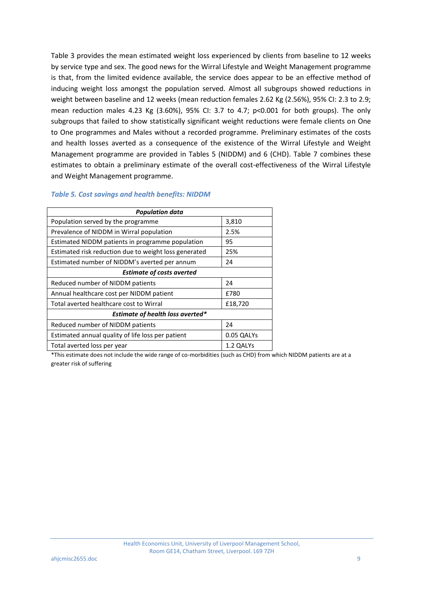Table 3 provides the mean estimated weight loss experienced by clients from baseline to 12 weeks by service type and sex. The good news for the Wirral Lifestyle and Weight Management programme is that, from the limited evidence available, the service does appear to be an effective method of inducing weight loss amongst the population served. Almost all subgroups showed reductions in weight between baseline and 12 weeks (mean reduction females 2.62 Kg (2.56%), 95% CI: 2.3 to 2.9; mean reduction males 4.23 Kg (3.60%), 95% CI: 3.7 to 4.7; p<0.001 for both groups). The only subgroups that failed to show statistically significant weight reductions were female clients on One to One programmes and Males without a recorded programme. Preliminary estimates of the costs and health losses averted as a consequence of the existence of the Wirral Lifestyle and Weight Management programme are provided in Tables 5 (NIDDM) and 6 (CHD). Table 7 combines these estimates to obtain a preliminary estimate of the overall cost-effectiveness of the Wirral Lifestyle and Weight Management programme.

| <b>Population data</b>                                |            |  |  |  |  |  |
|-------------------------------------------------------|------------|--|--|--|--|--|
| Population served by the programme                    | 3,810      |  |  |  |  |  |
| Prevalence of NIDDM in Wirral population              | 2.5%       |  |  |  |  |  |
| Estimated NIDDM patients in programme population      | 95         |  |  |  |  |  |
| Estimated risk reduction due to weight loss generated | 25%        |  |  |  |  |  |
| Estimated number of NIDDM's averted per annum         | 24         |  |  |  |  |  |
| <b>Estimate of costs averted</b>                      |            |  |  |  |  |  |
| Reduced number of NIDDM patients                      | 24         |  |  |  |  |  |
| Annual healthcare cost per NIDDM patient              | f780       |  |  |  |  |  |
| Total averted healthcare cost to Wirral               | £18,720    |  |  |  |  |  |
| Estimate of health loss averted*                      |            |  |  |  |  |  |
| Reduced number of NIDDM patients                      | 24         |  |  |  |  |  |
| Estimated annual quality of life loss per patient     | 0.05 QALYs |  |  |  |  |  |
| Total averted loss per year                           | 1.2 QALYs  |  |  |  |  |  |

#### *Table 5. Cost savings and health benefits: NIDDM*

\*This estimate does not include the wide range of co-morbidities (such as CHD) from which NIDDM patients are at a greater risk of suffering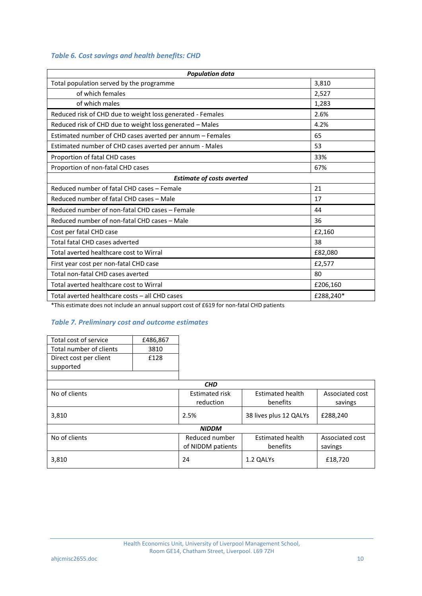### *Table 6. Cost savings and health benefits: CHD*

| <b>Population data</b>                                     |           |  |  |  |  |
|------------------------------------------------------------|-----------|--|--|--|--|
| Total population served by the programme                   | 3,810     |  |  |  |  |
| of which females                                           | 2,527     |  |  |  |  |
| of which males                                             | 1,283     |  |  |  |  |
| Reduced risk of CHD due to weight loss generated - Females | 2.6%      |  |  |  |  |
| Reduced risk of CHD due to weight loss generated - Males   | 4.2%      |  |  |  |  |
| Estimated number of CHD cases averted per annum - Females  | 65        |  |  |  |  |
| Estimated number of CHD cases averted per annum - Males    | 53        |  |  |  |  |
| Proportion of fatal CHD cases                              | 33%       |  |  |  |  |
| Proportion of non-fatal CHD cases                          | 67%       |  |  |  |  |
| <b>Estimate of costs averted</b>                           |           |  |  |  |  |
| Reduced number of fatal CHD cases - Female                 | 21        |  |  |  |  |
| Reduced number of fatal CHD cases - Male                   | 17        |  |  |  |  |
| Reduced number of non-fatal CHD cases - Female             | 44        |  |  |  |  |
| Reduced number of non-fatal CHD cases - Male               | 36        |  |  |  |  |
| Cost per fatal CHD case                                    | £2,160    |  |  |  |  |
| Total fatal CHD cases adverted                             | 38        |  |  |  |  |
| Total averted healthcare cost to Wirral                    | £82,080   |  |  |  |  |
| First year cost per non-fatal CHD case                     | £2,577    |  |  |  |  |
| Total non-fatal CHD cases averted                          | 80        |  |  |  |  |
| Total averted healthcare cost to Wirral                    | £206,160  |  |  |  |  |
| Total averted healthcare costs - all CHD cases             | £288,240* |  |  |  |  |

\*This estimate does not include an annual support cost of £619 for non-fatal CHD patients

### *Table 7. Preliminary cost and outcome estimates*

| Total cost of service<br>£486,867 |      |                       |                         |                 |
|-----------------------------------|------|-----------------------|-------------------------|-----------------|
| Total number of clients           | 3810 |                       |                         |                 |
| Direct cost per client            | £128 |                       |                         |                 |
| supported                         |      |                       |                         |                 |
|                                   |      |                       |                         |                 |
|                                   |      | <b>CHD</b>            |                         |                 |
| No of clients                     |      | <b>Estimated risk</b> | <b>Estimated health</b> | Associated cost |
|                                   |      | reduction             | benefits                | savings         |
| 3,810                             |      | 2.5%                  | 38 lives plus 12 QALYs  | £288,240        |
|                                   |      | <b>NIDDM</b>          |                         |                 |
| No of clients                     |      | Reduced number        | Estimated health        | Associated cost |
|                                   |      | of NIDDM patients     | benefits                | savings         |
| 3,810                             |      | 24                    | 1.2 QALYs               | £18,720         |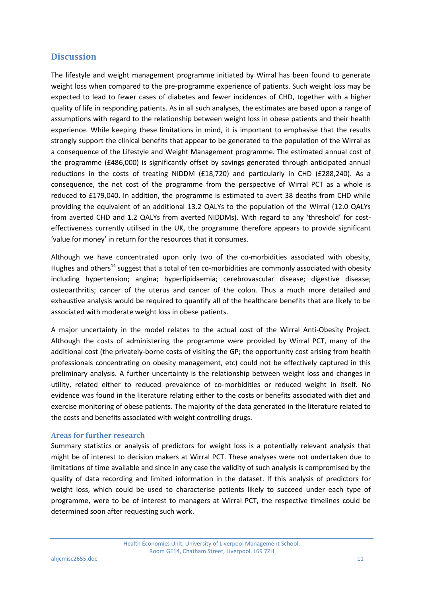### **Discussion**

The lifestyle and weight management programme initiated by Wirral has been found to generate weight loss when compared to the pre-programme experience of patients. Such weight loss may be expected to lead to fewer cases of diabetes and fewer incidences of CHD, together with a higher quality of life in responding patients. As in all such analyses, the estimates are based upon a range of assumptions with regard to the relationship between weight loss in obese patients and their health experience. While keeping these limitations in mind, it is important to emphasise that the results strongly support the clinical benefits that appear to be generated to the population of the Wirral as a consequence of the Lifestyle and Weight Management programme. The estimated annual cost of the programme (£486,000) is significantly offset by savings generated through anticipated annual reductions in the costs of treating NIDDM (£18,720) and particularly in CHD (£288,240). As a consequence, the net cost of the programme from the perspective of Wirral PCT as a whole is reduced to £179,040. In addition, the programme is estimated to avert 38 deaths from CHD while providing the equivalent of an additional 13.2 QALYs to the population of the Wirral (12.0 QALYs from averted CHD and 1.2 QALYs from averted NIDDMs). With regard to any 'threshold' for costeffectiveness currently utilised in the UK, the programme therefore appears to provide significant 'value for money' in return for the resources that it consumes.

Although we have concentrated upon only two of the co-morbidities associated with obesity, Hughes and others<sup>14</sup> suggest that a total of ten co-morbidities are commonly associated with obesity including hypertension; angina; hyperlipidaemia; cerebrovascular disease; digestive disease; osteoarthritis; cancer of the uterus and cancer of the colon. Thus a much more detailed and exhaustive analysis would be required to quantify all of the healthcare benefits that are likely to be associated with moderate weight loss in obese patients.

A major uncertainty in the model relates to the actual cost of the Wirral Anti-Obesity Project. Although the costs of administering the programme were provided by Wirral PCT, many of the additional cost (the privately-borne costs of visiting the GP; the opportunity cost arising from health professionals concentrating on obesity management, etc) could not be effectively captured in this preliminary analysis. A further uncertainty is the relationship between weight loss and changes in utility, related either to reduced prevalence of co-morbidities or reduced weight in itself. No evidence was found in the literature relating either to the costs or benefits associated with diet and exercise monitoring of obese patients. The majority of the data generated in the literature related to the costs and benefits associated with weight controlling drugs.

#### **Areas for further research**

Summary statistics or analysis of predictors for weight loss is a potentially relevant analysis that might be of interest to decision makers at Wirral PCT. These analyses were not undertaken due to limitations of time available and since in any case the validity of such analysis is compromised by the quality of data recording and limited information in the dataset. If this analysis of predictors for weight loss, which could be used to characterise patients likely to succeed under each type of programme, were to be of interest to managers at Wirral PCT, the respective timelines could be determined soon after requesting such work.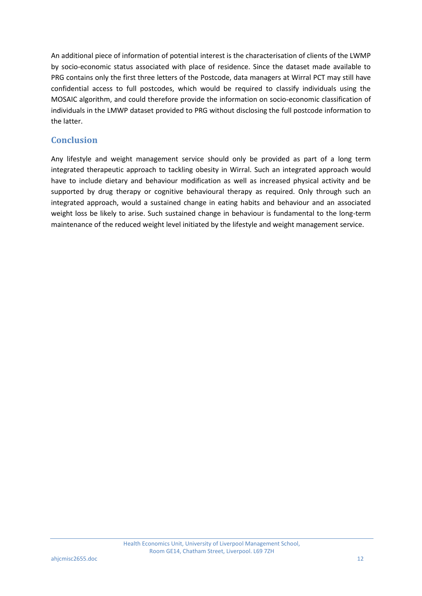An additional piece of information of potential interest is the characterisation of clients of the LWMP by socio-economic status associated with place of residence. Since the dataset made available to PRG contains only the first three letters of the Postcode, data managers at Wirral PCT may still have confidential access to full postcodes, which would be required to classify individuals using the MOSAIC algorithm, and could therefore provide the information on socio-economic classification of individuals in the LMWP dataset provided to PRG without disclosing the full postcode information to the latter.

## **Conclusion**

Any lifestyle and weight management service should only be provided as part of a long term integrated therapeutic approach to tackling obesity in Wirral. Such an integrated approach would have to include dietary and behaviour modification as well as increased physical activity and be supported by drug therapy or cognitive behavioural therapy as required. Only through such an integrated approach, would a sustained change in eating habits and behaviour and an associated weight loss be likely to arise. Such sustained change in behaviour is fundamental to the long-term maintenance of the reduced weight level initiated by the lifestyle and weight management service.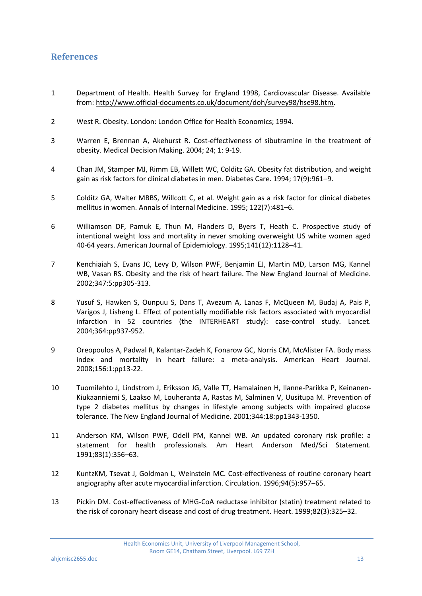### **References**

- 1 Department of Health. Health Survey for England 1998, Cardiovascular Disease. Available from: [http://www.official-documents.co.uk/document/doh/survey98/hse98.htm.](http://www.official-documents.co.uk/document/doh/survey98/hse98.htm)
- 2 West R. Obesity. London: London Office for Health Economics; 1994.
- 3 Warren E, Brennan A, Akehurst R. Cost-effectiveness of sibutramine in the treatment of obesity. Medical Decision Making. 2004; 24; 1: 9-19.
- 4 Chan JM, Stamper MJ, Rimm EB, Willett WC, Colditz GA. Obesity fat distribution, and weight gain as risk factors for clinical diabetes in men. Diabetes Care. 1994; 17(9):961–9.
- 5 Colditz GA, Walter MBBS, Willcott C, et al. Weight gain as a risk factor for clinical diabetes mellitus in women. Annals of Internal Medicine. 1995; 122(7):481–6.
- 6 Williamson DF, Pamuk E, Thun M, Flanders D, Byers T, Heath C. Prospective study of intentional weight loss and mortality in never smoking overweight US white women aged 40-64 years. American Journal of Epidemiology. 1995;141(12):1128–41.
- 7 Kenchiaiah S, Evans JC, Levy D, Wilson PWF, Benjamin EJ, Martin MD, Larson MG, Kannel WB, Vasan RS. Obesity and the risk of heart failure. The New England Journal of Medicine. 2002;347:5:pp305-313.
- 8 Yusuf S, Hawken S, Ounpuu S, Dans T, Avezum A, Lanas F, McQueen M, Budaj A, Pais P, Varigos J, Lisheng L. Effect of potentially modifiable risk factors associated with myocardial infarction in 52 countries (the INTERHEART study): case-control study. Lancet. 2004;364:pp937-952.
- 9 Oreopoulos A, Padwal R, Kalantar-Zadeh K, Fonarow GC, Norris CM, McAlister FA. Body mass index and mortality in heart failure: a meta-analysis. American Heart Journal. 2008;156:1:pp13-22.
- 10 Tuomilehto J, Lindstrom J, Eriksson JG, Valle TT, Hamalainen H, Ilanne-Parikka P, Keinanen-Kiukaanniemi S, Laakso M, Louheranta A, Rastas M, Salminen V, Uusitupa M. Prevention of type 2 diabetes mellitus by changes in lifestyle among subjects with impaired glucose tolerance. The New England Journal of Medicine. 2001;344:18:pp1343-1350.
- 11 Anderson KM, Wilson PWF, Odell PM, Kannel WB. An updated coronary risk profile: a statement for health professionals. Am Heart Anderson Med/Sci Statement. 1991;83(1):356–63.
- 12 KuntzKM, Tsevat J, Goldman L, Weinstein MC. Cost-effectiveness of routine coronary heart angiography after acute myocardial infarction. Circulation. 1996;94(5):957–65.
- 13 Pickin DM. Cost-effectiveness of MHG-CoA reductase inhibitor (statin) treatment related to the risk of coronary heart disease and cost of drug treatment. Heart. 1999;82(3):325–32.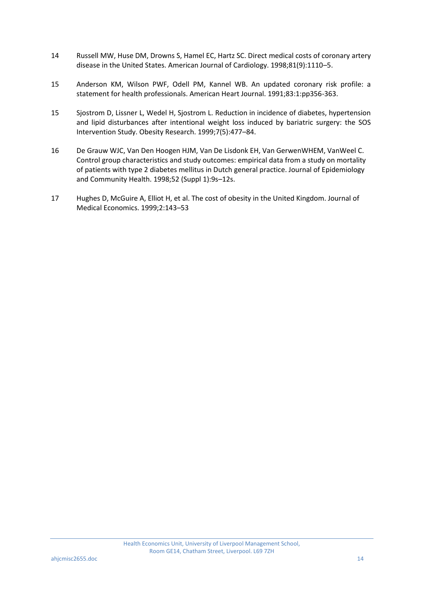- 14 Russell MW, Huse DM, Drowns S, Hamel EC, Hartz SC. Direct medical costs of coronary artery disease in the United States. American Journal of Cardiology. 1998;81(9):1110–5.
- 15 Anderson KM, Wilson PWF, Odell PM, Kannel WB. An updated coronary risk profile: a statement for health professionals. American Heart Journal. 1991;83:1:pp356-363.
- 15 Sjostrom D, Lissner L, Wedel H, Sjostrom L. Reduction in incidence of diabetes, hypertension and lipid disturbances after intentional weight loss induced by bariatric surgery: the SOS Intervention Study. Obesity Research. 1999;7(5):477–84.
- 16 De Grauw WJC, Van Den Hoogen HJM, Van De Lisdonk EH, Van GerwenWHEM, VanWeel C. Control group characteristics and study outcomes: empirical data from a study on mortality of patients with type 2 diabetes mellitus in Dutch general practice. Journal of Epidemiology and Community Health. 1998;52 (Suppl 1):9s–12s.
- 17 Hughes D, McGuire A, Elliot H, et al. The cost of obesity in the United Kingdom. Journal of Medical Economics. 1999;2:143–53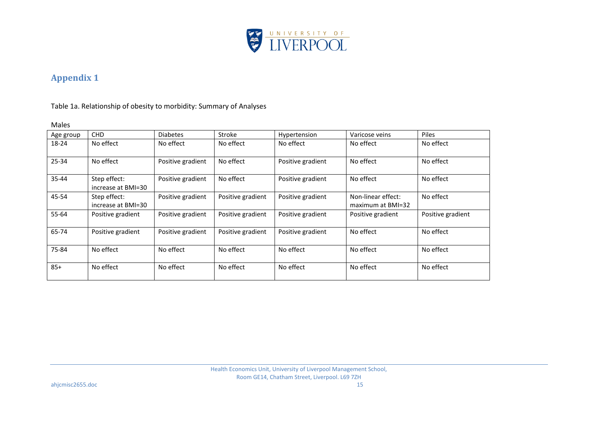

# **Appendix 1**

Table 1a. Relationship of obesity to morbidity: Summary of Analyses

#### Males

| Age group | <b>CHD</b>                         | <b>Diabetes</b>   | <b>Stroke</b>     | Hypertension      | Varicose veins                          | <b>Piles</b>      |
|-----------|------------------------------------|-------------------|-------------------|-------------------|-----------------------------------------|-------------------|
| 18-24     | No effect                          | No effect         | No effect         | No effect         | No effect                               | No effect         |
| 25-34     | No effect                          | Positive gradient | No effect         | Positive gradient | No effect                               | No effect         |
| 35-44     | Step effect:<br>increase at BMI=30 | Positive gradient | No effect         | Positive gradient | No effect                               | No effect         |
| 45-54     | Step effect:<br>increase at BMI=30 | Positive gradient | Positive gradient | Positive gradient | Non-linear effect:<br>maximum at BMI=32 | No effect         |
| $55 - 64$ | Positive gradient                  | Positive gradient | Positive gradient | Positive gradient | Positive gradient                       | Positive gradient |
| 65-74     | Positive gradient                  | Positive gradient | Positive gradient | Positive gradient | No effect                               | No effect         |
| 75-84     | No effect                          | No effect         | No effect         | No effect         | No effect                               | No effect         |
| $85+$     | No effect                          | No effect         | No effect         | No effect         | No effect                               | No effect         |